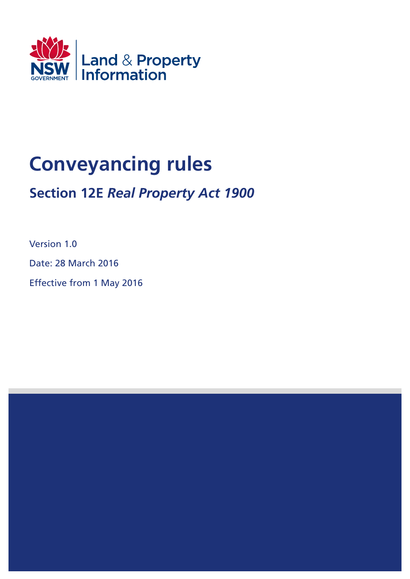

# **Conveyancing rules**

## **Section 12E** *Real Property Act 1900*

Version 1.0

Date: 28 March 2016

Effective from 1 May 2016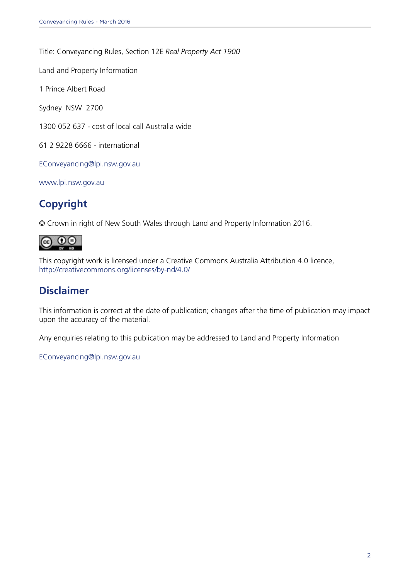Title: Conveyancing Rules, Section 12E *Real Property Act 1900*

Land and Property Information

1 Prince Albert Road

Sydney NSW 2700

1300 052 637 - cost of local call Australia wide

61 2 9228 6666 - international

[EConveyancing@lpi.nsw.gov.au](mailto:EConveyancing%40lpi.nsw.gov.au?subject=)

<www.lpi.nsw.gov.au>

## **Copyright**

© Crown in right of New South Wales through Land and Property Information 2016.



This copyright work is licensed under a Creative Commons Australia Attribution 4.0 licence, <http://creativecommons.org/licenses/by-nd/4.0/>

### **Disclaimer**

This information is correct at the date of publication; changes after the time of publication may impact upon the accuracy of the material.

Any enquiries relating to this publication may be addressed to Land and Property Information

[EConveyancing@lpi.nsw.gov.au](mailto:EConveyancing%40lpi.nsw.gov.au?subject=)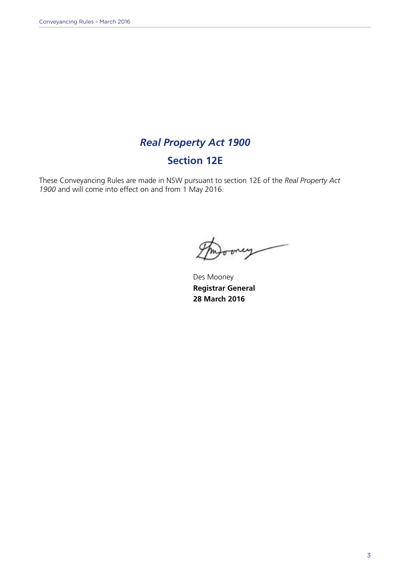## *Real Property Act 1900*

## **Section 12E**

These Conveyancing Rules are made in NSW pursuant to section 12E of the *Real Property Act 1900* and will come into effect on and from 1 May 2016.

rey

Des Mooney **Registrar General 28 March 2016**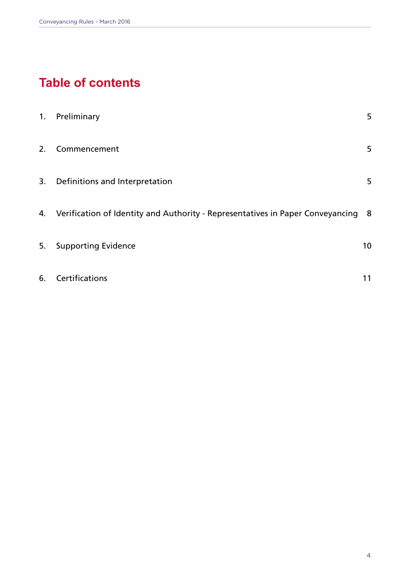## **Table of contents**

| 1. | Preliminary                                                                         | 5  |
|----|-------------------------------------------------------------------------------------|----|
| 2. | Commencement                                                                        | 5  |
|    | 3. Definitions and Interpretation                                                   | 5  |
|    | 4. Verification of Identity and Authority - Representatives in Paper Conveyancing 8 |    |
| 5. | <b>Supporting Evidence</b>                                                          | 10 |
| 6. | Certifications                                                                      | 11 |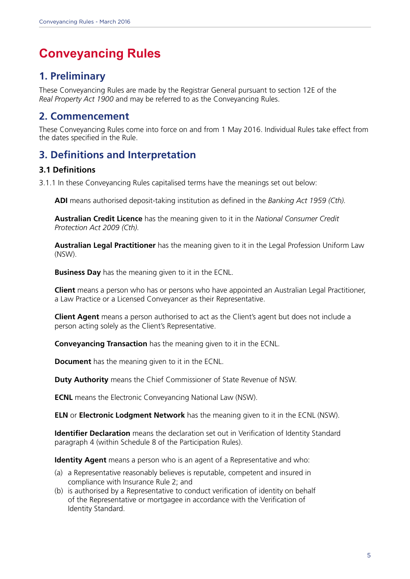## **Conveyancing Rules**

## **1. Preliminary**

These Conveyancing Rules are made by the Registrar General pursuant to section 12E of the *Real Property Act 1900* and may be referred to as the Conveyancing Rules.

### **2. Commencement**

These Conveyancing Rules come into force on and from 1 May 2016. Individual Rules take effect from the dates specified in the Rule.

## **3. Definitions and Interpretation**

#### **3.1 Definitions**

3.1.1 In these Conveyancing Rules capitalised terms have the meanings set out below:

 **ADI** means authorised deposit-taking institution as defined in the *Banking Act 1959 (Cth).* 

**Australian Credit Licence** has the meaning given to it in the *National Consumer Credit Protection Act 2009 (Cth).*

 **Australian Legal Practitioner** has the meaning given to it in the Legal Profession Uniform Law (NSW).

**Business Day** has the meaning given to it in the ECNL.

**Client** means a person who has or persons who have appointed an Australian Legal Practitioner, a Law Practice or a Licensed Conveyancer as their Representative.

**Client Agent** means a person authorised to act as the Client's agent but does not include a person acting solely as the Client's Representative.

**Conveyancing Transaction** has the meaning given to it in the ECNL.

**Document** has the meaning given to it in the ECNL.

**Duty Authority** means the Chief Commissioner of State Revenue of NSW.

**ECNL** means the Electronic Conveyancing National Law (NSW).

**ELN** or **Electronic Lodgment Network** has the meaning given to it in the ECNL (NSW).

**Identifier Declaration** means the declaration set out in Verification of Identity Standard paragraph 4 (within Schedule 8 of the Participation Rules).

**Identity Agent** means a person who is an agent of a Representative and who:

- (a) a Representative reasonably believes is reputable, competent and insured in compliance with Insurance Rule 2; and
- (b) is authorised by a Representative to conduct verification of identity on behalf of the Representative or mortgagee in accordance with the Verification of Identity Standard.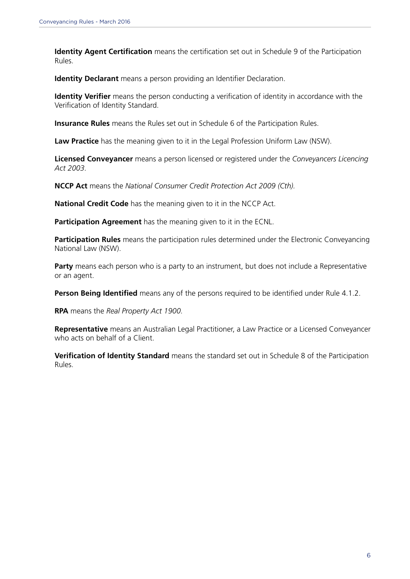**Identity Agent Certification** means the certification set out in Schedule 9 of the Participation Rules.

**Identity Declarant** means a person providing an Identifier Declaration.

 **Identity Verifier** means the person conducting a verification of identity in accordance with the Verification of Identity Standard.

**Insurance Rules** means the Rules set out in Schedule 6 of the Participation Rules.

**Law Practice** has the meaning given to it in the Legal Profession Uniform Law (NSW).

 **Licensed Conveyancer** means a person licensed or registered under the *Conveyancers Licencing Act 2003.*

**NCCP Act** means the *National Consumer Credit Protection Act 2009 (Cth).*

**National Credit Code** has the meaning given to it in the NCCP Act.

**Participation Agreement** has the meaning given to it in the ECNL.

 **Participation Rules** means the participation rules determined under the Electronic Conveyancing National Law (NSW).

Party means each person who is a party to an instrument, but does not include a Representative or an agent.

**Person Being Identified** means any of the persons required to be identified under Rule 4.1.2.

**RPA** means the *Real Property Act 1900.* 

 **Representative** means an Australian Legal Practitioner, a Law Practice or a Licensed Conveyancer who acts on behalf of a Client.

 **Verification of Identity Standard** means the standard set out in Schedule 8 of the Participation Rules.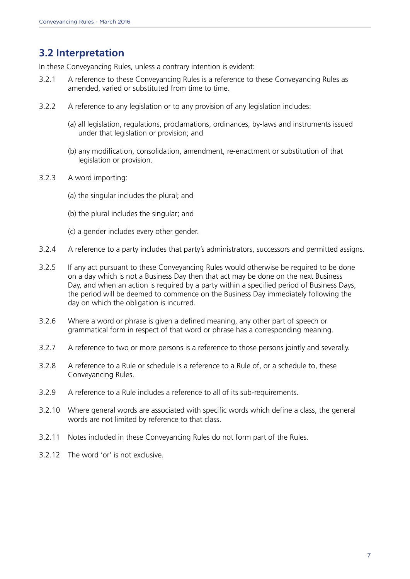## **3.2 Interpretation**

In these Conveyancing Rules, unless a contrary intention is evident:

- 3.2.1 A reference to these Conveyancing Rules is a reference to these Conveyancing Rules as amended, varied or substituted from time to time.
- 3.2.2 A reference to any legislation or to any provision of any legislation includes:
	- (a) all legislation, regulations, proclamations, ordinances, by-laws and instruments issued under that legislation or provision; and
	- (b) any modification, consolidation, amendment, re-enactment or substitution of that legislation or provision.
- 3.2.3 A word importing:
	- (a) the singular includes the plural; and
	- (b) the plural includes the singular; and
	- (c) a gender includes every other gender.
- 3.2.4 A reference to a party includes that party's administrators, successors and permitted assigns.
- 3.2.5 If any act pursuant to these Conveyancing Rules would otherwise be required to be done on a day which is not a Business Day then that act may be done on the next Business Day, and when an action is required by a party within a specified period of Business Days, the period will be deemed to commence on the Business Day immediately following the day on which the obligation is incurred.
- 3.2.6 Where a word or phrase is given a defined meaning, any other part of speech or grammatical form in respect of that word or phrase has a corresponding meaning.
- 3.2.7 A reference to two or more persons is a reference to those persons jointly and severally.
- 3.2.8 A reference to a Rule or schedule is a reference to a Rule of, or a schedule to, these Conveyancing Rules.
- 3.2.9 A reference to a Rule includes a reference to all of its sub-requirements.
- 3.2.10 Where general words are associated with specific words which define a class, the general words are not limited by reference to that class.
- 3.2.11 Notes included in these Conveyancing Rules do not form part of the Rules.
- 3.2.12 The word 'or' is not exclusive.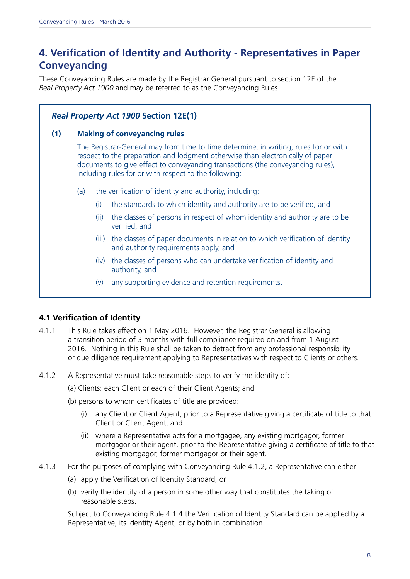## **4. Verification of Identity and Authority - Representatives in Paper Conveyancing**

These Conveyancing Rules are made by the Registrar General pursuant to section 12E of the *Real Property Act 1900* and may be referred to as the Conveyancing Rules.

#### *Real Property Act 1900* **Section 12E(1)**

#### **(1) Making of conveyancing rules**

The Registrar-General may from time to time determine, in writing, rules for or with respect to the preparation and lodgment otherwise than electronically of paper documents to give effect to conveyancing transactions (the conveyancing rules), including rules for or with respect to the following:

- (a) the verification of identity and authority, including:
	- (i) the standards to which identity and authority are to be verified, and
	- (ii) the classes of persons in respect of whom identity and authority are to be verified, and
	- (iii) the classes of paper documents in relation to which verification of identity and authority requirements apply, and
	- (iv) the classes of persons who can undertake verification of identity and authority, and
	- (v) any supporting evidence and retention requirements.

#### **4.1 Verification of Identity**

- 4.1.1 This Rule takes effect on 1 May 2016. However, the Registrar General is allowing a transition period of 3 months with full compliance required on and from 1 August 2016. Nothing in this Rule shall be taken to detract from any professional responsibility or due diligence requirement applying to Representatives with respect to Clients or others.
- 4.1.2 A Representative must take reasonable steps to verify the identity of:
	- (a) Clients: each Client or each of their Client Agents; and
	- (b) persons to whom certificates of title are provided:
		- (i) any Client or Client Agent, prior to a Representative giving a certificate of title to that Client or Client Agent; and
		- (ii) where a Representative acts for a mortgagee, any existing mortgagor, former mortgagor or their agent, prior to the Representative giving a certificate of title to that existing mortgagor, former mortgagor or their agent.
- 4.1.3 For the purposes of complying with Conveyancing Rule 4.1.2, a Representative can either:
	- (a) apply the Verification of Identity Standard; or
	- (b) verify the identity of a person in some other way that constitutes the taking of reasonable steps.

Subject to Conveyancing Rule 4.1.4 the Verification of Identity Standard can be applied by a Representative, its Identity Agent, or by both in combination.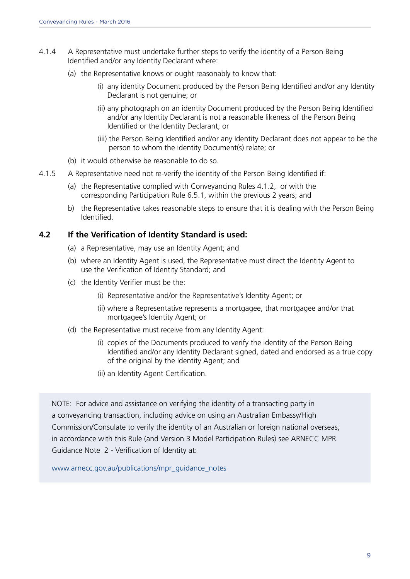- 4.1.4 A Representative must undertake further steps to verify the identity of a Person Being Identified and/or any Identity Declarant where:
	- (a) the Representative knows or ought reasonably to know that:
		- (i) any identity Document produced by the Person Being Identified and/or any Identity Declarant is not genuine; or
		- (ii) any photograph on an identity Document produced by the Person Being Identified and/or any Identity Declarant is not a reasonable likeness of the Person Being Identified or the Identity Declarant; or
		- (iii) the Person Being Identified and/or any Identity Declarant does not appear to be the person to whom the identity Document(s) relate; or
	- (b) it would otherwise be reasonable to do so.
- 4.1.5 A Representative need not re-verify the identity of the Person Being Identified if:
	- (a) the Representative complied with Conveyancing Rules 4.1.2, or with the corresponding Participation Rule 6.5.1, within the previous 2 years; and
	- b) the Representative takes reasonable steps to ensure that it is dealing with the Person Being Identified.

#### **4.2 If the Verification of Identity Standard is used:**

- (a) a Representative, may use an Identity Agent; and
- (b) where an Identity Agent is used, the Representative must direct the Identity Agent to use the Verification of Identity Standard; and
- (c) the Identity Verifier must be the:
	- (i) Representative and/or the Representative's Identity Agent; or
	- (ii) where a Representative represents a mortgagee, that mortgagee and/or that mortgagee's Identity Agent; or
- (d) the Representative must receive from any Identity Agent:
	- (i) copies of the Documents produced to verify the identity of the Person Being Identified and/or any Identity Declarant signed, dated and endorsed as a true copy of the original by the Identity Agent; and
	- (ii) an Identity Agent Certification.

NOTE: For advice and assistance on verifying the identity of a transacting party in a conveyancing transaction, including advice on using an Australian Embassy/High Commission/Consulate to verify the identity of an Australian or foreign national overseas, in accordance with this Rule (and Version 3 Model Participation Rules) see ARNECC MPR Guidance Note 2 - Verification of Identity at:

[www.arnecc.gov.au/publications/mpr\\_guidance\\_notes](www.arnecc.gov.au/publications/mpr_guidance_notes)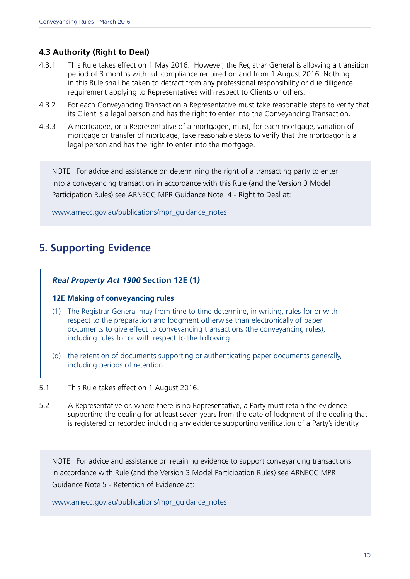#### **4.3 Authority (Right to Deal)**

- 4.3.1 This Rule takes effect on 1 May 2016. However, the Registrar General is allowing a transition period of 3 months with full compliance required on and from 1 August 2016. Nothing in this Rule shall be taken to detract from any professional responsibility or due diligence requirement applying to Representatives with respect to Clients or others.
- 4.3.2 For each Conveyancing Transaction a Representative must take reasonable steps to verify that its Client is a legal person and has the right to enter into the Conveyancing Transaction.
- 4.3.3 A mortgagee, or a Representative of a mortgagee, must, for each mortgage, variation of mortgage or transfer of mortgage, take reasonable steps to verify that the mortgagor is a legal person and has the right to enter into the mortgage.

NOTE: For advice and assistance on determining the right of a transacting party to enter into a conveyancing transaction in accordance with this Rule (and the Version 3 Model Participation Rules) see ARNECC MPR Guidance Note 4 - Right to Deal at:

[www.arnecc.gov.au/publications/mpr\\_guidance\\_notes](www.arnecc.gov.au/publications/mpr_guidance_notes)

### **5. Supporting Evidence**

#### *Real Property Act 1900* **Section 12E (1***)*

#### **12E Making of conveyancing rules**

- (1) The Registrar-General may from time to time determine, in writing, rules for or with respect to the preparation and lodgment otherwise than electronically of paper documents to give effect to conveyancing transactions (the conveyancing rules), including rules for or with respect to the following:
- (d) the retention of documents supporting or authenticating paper documents generally, including periods of retention.
- 5.1 This Rule takes effect on 1 August 2016.
- 5.2 A Representative or, where there is no Representative, a Party must retain the evidence supporting the dealing for at least seven years from the date of lodgment of the dealing that is registered or recorded including any evidence supporting verification of a Party's identity.

NOTE: For advice and assistance on retaining evidence to support conveyancing transactions in accordance with Rule (and the Version 3 Model Participation Rules) see ARNECC MPR Guidance Note 5 - Retention of Evidence at:

[www.arnecc.gov.au/publications/mpr\\_guidance\\_notes](www.arnecc.gov.au/publications/mpr_guidance_notes)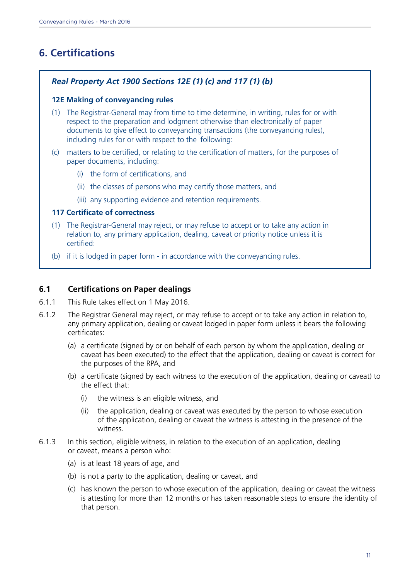## **6. Certifications**

#### *Real Property Act 1900 Sections 12E (1) (c) and 117 (1) (b)*

#### **12E Making of conveyancing rules**

- (1) The Registrar-General may from time to time determine, in writing, rules for or with respect to the preparation and lodgment otherwise than electronically of paper documents to give effect to conveyancing transactions (the conveyancing rules), including rules for or with respect to the following:
- (c) matters to be certified, or relating to the certification of matters, for the purposes of paper documents, including:
	- (i) the form of certifications, and
	- (ii) the classes of persons who may certify those matters, and
	- (iii) any supporting evidence and retention requirements.

#### **117 Certificate of correctness**

- (1) The Registrar-General may reject, or may refuse to accept or to take any action in relation to, any primary application, dealing, caveat or priority notice unless it is certified:
- (b) if it is lodged in paper form in accordance with the conveyancing rules.

#### **6.1 Certifications on Paper dealings**

- 6.1.1 This Rule takes effect on 1 May 2016.
- 6.1.2 The Registrar General may reject, or may refuse to accept or to take any action in relation to, any primary application, dealing or caveat lodged in paper form unless it bears the following certificates:
	- (a) a certificate (signed by or on behalf of each person by whom the application, dealing or caveat has been executed) to the effect that the application, dealing or caveat is correct for the purposes of the RPA, and
	- (b) a certificate (signed by each witness to the execution of the application, dealing or caveat) to the effect that:
		- (i) the witness is an eligible witness, and
		- (ii) the application, dealing or caveat was executed by the person to whose execution of the application, dealing or caveat the witness is attesting in the presence of the witness.
- 6.1.3 In this section, eligible witness, in relation to the execution of an application, dealing or caveat, means a person who:
	- (a) is at least 18 years of age, and
	- (b) is not a party to the application, dealing or caveat, and
	- (c) has known the person to whose execution of the application, dealing or caveat the witness is attesting for more than 12 months or has taken reasonable steps to ensure the identity of that person.